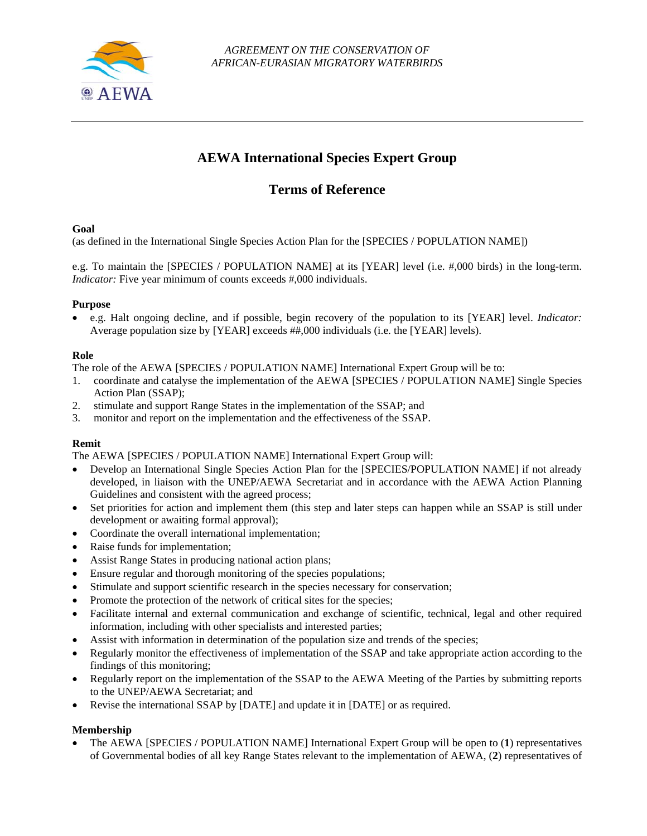

# **AEWA International Species Expert Group**

# **Terms of Reference**

### **Goal**

(as defined in the International Single Species Action Plan for the [SPECIES / POPULATION NAME])

e.g. To maintain the [SPECIES / POPULATION NAME] at its [YEAR] level (i.e. #,000 birds) in the long-term. *Indicator:* Five year minimum of counts exceeds #,000 individuals.

# **Purpose**

 e.g. Halt ongoing decline, and if possible, begin recovery of the population to its [YEAR] level. *Indicator:*  Average population size by [YEAR] exceeds ##,000 individuals (i.e. the [YEAR] levels).

# **Role**

The role of the AEWA [SPECIES / POPULATION NAME] International Expert Group will be to:

- 1. coordinate and catalyse the implementation of the AEWA [SPECIES / POPULATION NAME] Single Species Action Plan (SSAP);
- 2. stimulate and support Range States in the implementation of the SSAP; and
- 3. monitor and report on the implementation and the effectiveness of the SSAP.

# **Remit**

The AEWA [SPECIES / POPULATION NAME] International Expert Group will:

- Develop an International Single Species Action Plan for the [SPECIES/POPULATION NAME] if not already developed, in liaison with the UNEP/AEWA Secretariat and in accordance with the AEWA Action Planning Guidelines and consistent with the agreed process;
- Set priorities for action and implement them (this step and later steps can happen while an SSAP is still under development or awaiting formal approval);
- Coordinate the overall international implementation;
- Raise funds for implementation;
- Assist Range States in producing national action plans;
- Ensure regular and thorough monitoring of the species populations;
- Stimulate and support scientific research in the species necessary for conservation;
- Promote the protection of the network of critical sites for the species;
- Facilitate internal and external communication and exchange of scientific, technical, legal and other required information, including with other specialists and interested parties;
- Assist with information in determination of the population size and trends of the species;
- Regularly monitor the effectiveness of implementation of the SSAP and take appropriate action according to the findings of this monitoring;
- Regularly report on the implementation of the SSAP to the AEWA Meeting of the Parties by submitting reports to the UNEP/AEWA Secretariat; and
- Revise the international SSAP by [DATE] and update it in [DATE] or as required.

# **Membership**

 The AEWA [SPECIES / POPULATION NAME] International Expert Group will be open to (**1**) representatives of Governmental bodies of all key Range States relevant to the implementation of AEWA, (**2**) representatives of